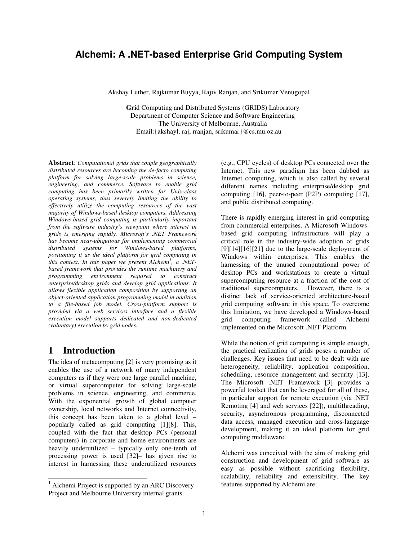# **Alchemi: A .NET-based Enterprise Grid Computing System**

Akshay Luther, Rajkumar Buyya, Rajiv Ranjan, and Srikumar Venugopal

**Gri**d Computing and **D**istributed **S**ystems (GRIDS) Laboratory Department of Computer Science and Software Engineering The University of Melbourne, Australia Email:{akshayl, raj, rranjan, srikumar}@cs.mu.oz.au

**Abstract**: *Computational grids that couple geographically distributed resources are becoming the de-facto computing platform for solving large-scale problems in science, engineering, and commerce. Software to enable grid computing has been primarily written for Unix-class operating systems, thus severely limiting the ability to effectively utilize the computing resources of the vast majority of Windows-based desktop computers. Addressing Windows-based grid computing is particularly important from the software industry's viewpoint where interest in grids is emerging rapidly. Microsoft's .NET Framework has become near-ubiquitous for implementing commercial distributed systems for Windows-based platforms, positioning it as the ideal platform for grid computing in this context. In this paper we present Alchemi<sup>1</sup> , a .NETbased framework that provides the runtime machinery and programming environment required to construct enterprise/desktop grids and develop grid applications. It allows flexible application composition by supporting an object-oriented application programming model in addition to a file-based job model. Cross-platform support is provided via a web services interface and a flexible execution model supports dedicated and non-dedicated (voluntary) execution by grid nodes.* 

# **1 Introduction**

The idea of metacomputing [2] is very promising as it enables the use of a network of many independent computers as if they were one large parallel machine, or virtual supercomputer for solving large-scale problems in science, engineering, and commerce. With the exponential growth of global computer ownership, local networks and Internet connectivity, this concept has been taken to a global level – popularly called as grid computing [1][8]. This, coupled with the fact that desktop PCs (personal computers) in corporate and home environments are heavily underutilized – typically only one-tenth of processing power is used [32]– has given rise to interest in harnessing these underutilized resources

(e.g., CPU cycles) of desktop PCs connected over the Internet. This new paradigm has been dubbed as Internet computing, which is also called by several different names including enterprise/desktop grid computing [16], peer-to-peer (P2P) computing [17], and public distributed computing.

There is rapidly emerging interest in grid computing from commercial enterprises. A Microsoft Windowsbased grid computing infrastructure will play a critical role in the industry-wide adoption of grids [9][14][16][21] due to the large-scale deployment of Windows within enterprises. This enables the harnessing of the unused computational power of desktop PCs and workstations to create a virtual supercomputing resource at a fraction of the cost of traditional supercomputers. However, there is a distinct lack of service-oriented architecture-based grid computing software in this space. To overcome this limitation, we have developed a Windows-based grid computing framework called Alchemi implemented on the Microsoft .NET Platform.

While the notion of grid computing is simple enough, the practical realization of grids poses a number of challenges. Key issues that need to be dealt with are heterogeneity, reliability, application composition, scheduling, resource management and security [13]. The Microsoft .NET Framework [3] provides a powerful toolset that can be leveraged for all of these, in particular support for remote execution (via .NET Remoting [4] and web services [22]), multithreading, security, asynchronous programming, disconnected data access, managed execution and cross-language development, making it an ideal platform for grid computing middleware.

Alchemi was conceived with the aim of making grid construction and development of grid software as easy as possible without sacrificing flexibility, scalability, reliability and extensibility. The key features supported by Alchemi are:

<sup>&</sup>lt;sup>1</sup> Alchemi Project is supported by an ARC Discovery Project and Melbourne University internal grants.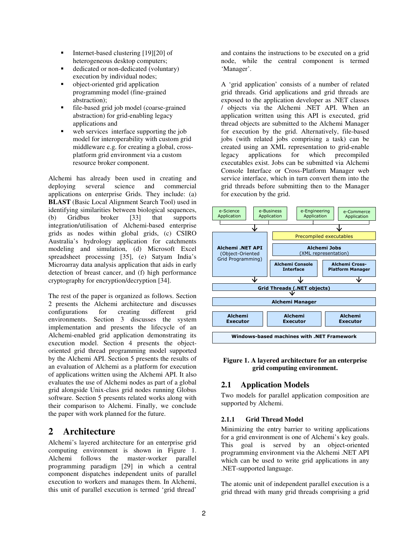- Internet-based clustering [19][20] of heterogeneous desktop computers;
- dedicated or non-dedicated (voluntary) execution by individual nodes;
- object-oriented grid application programming model (fine-grained abstraction);
- file-based grid job model (coarse-grained abstraction) for grid-enabling legacy applications and
- web services interface supporting the job model for interoperability with custom grid middleware e.g. for creating a global, crossplatform grid environment via a custom resource broker component.

Alchemi has already been used in creating and deploying several science and commercial applications on enterprise Grids. They include: (a) **BLAST** (Basic Local Alignment Search Tool) used in identifying similarities between biological sequences, (b) Gridbus broker [33] that supports integration/utilisation of Alchemi-based enterprise grids as nodes within global grids, (c) CSIRO Australia's hydrology application for catchments modeling and simulation, (d) Microsoft Excel spreadsheet processing [35], (e) Satyam India's Microarray data analysis application that aids in early detection of breast cancer, and (f) high performance cryptography for encryption/decryption [34].

The rest of the paper is organized as follows. Section 2 presents the Alchemi architecture and discusses configurations for creating different grid environments. Section 3 discusses the system implementation and presents the lifecycle of an Alchemi-enabled grid application demonstrating its execution model. Section 4 presents the objectoriented grid thread programming model supported by the Alchemi API. Section 5 presents the results of an evaluation of Alchemi as a platform for execution of applications written using the Alchemi API. It also evaluates the use of Alchemi nodes as part of a global grid alongside Unix-class grid nodes running Globus software. Section 5 presents related works along with their comparison to Alchemi. Finally, we conclude the paper with work planned for the future.

# **2 Architecture**

Alchemi's layered architecture for an enterprise grid computing environment is shown in Figure 1. Alchemi follows the master-worker parallel programming paradigm [29] in which a central component dispatches independent units of parallel execution to workers and manages them. In Alchemi, this unit of parallel execution is termed 'grid thread'

and contains the instructions to be executed on a grid node, while the central component is termed 'Manager'.

A 'grid application' consists of a number of related grid threads. Grid applications and grid threads are exposed to the application developer as .NET classes / objects via the Alchemi .NET API. When an application written using this API is executed, grid thread objects are submitted to the Alchemi Manager for execution by the grid. Alternatively, file-based jobs (with related jobs comprising a task) can be created using an XML representation to grid-enable legacy applications for which precompiled executables exist. Jobs can be submitted via Alchemi Console Interface or Cross-Platform Manager web service interface, which in turn convert them into the grid threads before submitting then to the Manager for execution by the grid.



**Figure 1. A layered architecture for an enterprise grid computing environment.** 

# **2.1 Application Models**

Two models for parallel application composition are supported by Alchemi.

## **2.1.1 Grid Thread Model**

Minimizing the entry barrier to writing applications for a grid environment is one of Alchemi's key goals. This goal is served by an object-oriented programming environment via the Alchemi .NET API which can be used to write grid applications in any .NET-supported language.

The atomic unit of independent parallel execution is a grid thread with many grid threads comprising a grid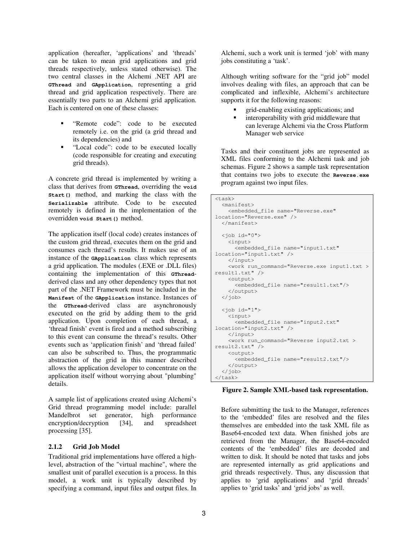application (hereafter, 'applications' and 'threads' can be taken to mean grid applications and grid threads respectively, unless stated otherwise). The two central classes in the Alchemi .NET API are **GThread** and **GApplication**, representing a grid thread and grid application respectively. There are essentially two parts to an Alchemi grid application. Each is centered on one of these classes:

- "Remote code": code to be executed remotely i.e. on the grid (a grid thread and its dependencies) and
- "Local code": code to be executed locally (code responsible for creating and executing grid threads).

A concrete grid thread is implemented by writing a class that derives from **GThread**, overriding the **void Start()** method, and marking the class with the **Serializable** attribute. Code to be executed remotely is defined in the implementation of the overridden **void Start()** method.

The application itself (local code) creates instances of the custom grid thread, executes them on the grid and consumes each thread's results. It makes use of an instance of the **GApplication** class which represents a grid application. The modules (.EXE or .DLL files) containing the implementation of this **GThread**derived class and any other dependency types that not part of the .NET Framework must be included in the **Manifest** of the **GApplication** instance. Instances of the **GThread**-derived class are asynchronously executed on the grid by adding them to the grid application. Upon completion of each thread, a 'thread finish' event is fired and a method subscribing to this event can consume the thread's results. Other events such as 'application finish' and 'thread failed' can also be subscribed to. Thus, the programmatic abstraction of the grid in this manner described allows the application developer to concentrate on the application itself without worrying about "plumbing" details.

A sample list of applications created using Alchemi's Grid thread programming model include: parallel Mandelbrot set generator, high performance encryption/decryption [34], and spreadsheet processing [35].

### **2.1.2 Grid Job Model**

Traditional grid implementations have offered a highlevel, abstraction of the "virtual machine", where the smallest unit of parallel execution is a process. In this model, a work unit is typically described by specifying a command, input files and output files. In

Alchemi, such a work unit is termed 'job' with many jobs constituting a 'task'.

Although writing software for the "grid job" model involves dealing with files, an approach that can be complicated and inflexible, Alchemi's architecture supports it for the following reasons:

- grid-enabling existing applications; and
- interoperability with grid middleware that can leverage Alchemi via the Cross Platform Manager web service

Tasks and their constituent jobs are represented as XML files conforming to the Alchemi task and job schemas. Figure 2 shows a sample task representation that contains two jobs to execute the **Reverse.exe** program against two input files.

```
<task> 
   <manifest> 
     <embedded_file name="Reverse.exe" 
location="Reverse.exe" /> 
   </manifest> 

     <input> 
       <embedded_file name="input1.txt" 
location="input1.txt" /> 
    \langleinput>
     <work run_command="Reverse.exe input1.txt > 
result1.txt" /> 
     <output> 
       <embedded_file name="result1.txt"/> 
     </output> 
   </job> 

     <input> 
       <embedded_file name="input2.txt" 
location="input2.txt" /> 
     </input> 
     <work run_command="Reverse input2.txt > 
result2.txt" /> 
     <output> 
       <embedded_file name="result2.txt"/> 
     </output> 
   </job> 
</task>
```
**Figure 2. Sample XML-based task representation.** 

Before submitting the task to the Manager, references to the 'embedded' files are resolved and the files themselves are embedded into the task XML file as Base64-encoded text data. When finished jobs are retrieved from the Manager, the Base64-encoded contents of the 'embedded' files are decoded and written to disk. It should be noted that tasks and jobs are represented internally as grid applications and grid threads respectively. Thus, any discussion that applies to 'grid applications' and 'grid threads' applies to 'grid tasks' and 'grid jobs' as well.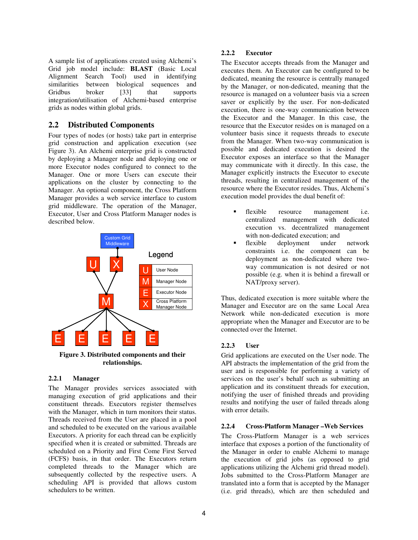A sample list of applications created using Alchemi's Grid job model include: **BLAST** (Basic Local Alignment Search Tool) used in identifying<br>similarities between biological sequences and between biological sequences and Gridbus broker [33] that supports integration/utilisation of Alchemi-based enterprise grids as nodes within global grids.

### **2.2 Distributed Components**

Four types of nodes (or hosts) take part in enterprise grid construction and application execution (see Figure 3). An Alchemi enterprise grid is constructed by deploying a Manager node and deploying one or more Executor nodes configured to connect to the Manager. One or more Users can execute their applications on the cluster by connecting to the Manager. An optional component, the Cross Platform Manager provides a web service interface to custom grid middleware. The operation of the Manager, Executor, User and Cross Platform Manager nodes is described below.



**Figure 3. Distributed components and their relationships.** 

### **2.2.1 Manager**

The Manager provides services associated with managing execution of grid applications and their constituent threads. Executors register themselves with the Manager, which in turn monitors their status. Threads received from the User are placed in a pool and scheduled to be executed on the various available Executors. A priority for each thread can be explicitly specified when it is created or submitted. Threads are scheduled on a Priority and First Come First Served (FCFS) basis, in that order. The Executors return completed threads to the Manager which are subsequently collected by the respective users. A scheduling API is provided that allows custom schedulers to be written.

### **2.2.2 Executor**

The Executor accepts threads from the Manager and executes them. An Executor can be configured to be dedicated, meaning the resource is centrally managed by the Manager, or non-dedicated, meaning that the resource is managed on a volunteer basis via a screen saver or explicitly by the user. For non-dedicated execution, there is one-way communication between the Executor and the Manager. In this case, the resource that the Executor resides on is managed on a volunteer basis since it requests threads to execute from the Manager. When two-way communication is possible and dedicated execution is desired the Executor exposes an interface so that the Manager may communicate with it directly. In this case, the Manager explicitly instructs the Executor to execute threads, resulting in centralized management of the resource where the Executor resides. Thus, Alchemi's execution model provides the dual benefit of:

- flexible resource management i.e. centralized management with dedicated execution vs. decentralized management with non-dedicated execution; and
- flexible deployment under network constraints i.e. the component can be deployment as non-dedicated where twoway communication is not desired or not possible (e.g. when it is behind a firewall or NAT/proxy server).

Thus, dedicated execution is more suitable where the Manager and Executor are on the same Local Area Network while non-dedicated execution is more appropriate when the Manager and Executor are to be connected over the Internet.

### **2.2.3 User**

Grid applications are executed on the User node. The API abstracts the implementation of the grid from the user and is responsible for performing a variety of services on the user's behalf such as submitting an application and its constituent threads for execution, notifying the user of finished threads and providing results and notifying the user of failed threads along with error details.

### **2.2.4 Cross-Platform Manager –Web Services**

The Cross-Platform Manager is a web services interface that exposes a portion of the functionality of the Manager in order to enable Alchemi to manage the execution of grid jobs (as opposed to grid applications utilizing the Alchemi grid thread model). Jobs submitted to the Cross-Platform Manager are translated into a form that is accepted by the Manager (i.e. grid threads), which are then scheduled and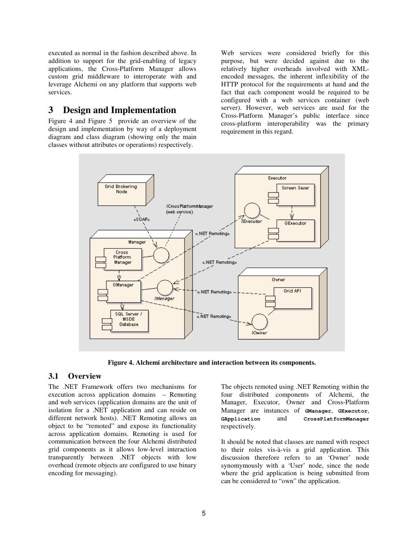executed as normal in the fashion described above. In addition to support for the grid-enabling of legacy applications, the Cross-Platform Manager allows custom grid middleware to interoperate with and leverage Alchemi on any platform that supports web services.

# **3 Design and Implementation**

Figure 4 and Figure 5 provide an overview of the design and implementation by way of a deployment diagram and class diagram (showing only the main classes without attributes or operations) respectively.

Web services were considered briefly for this purpose, but were decided against due to the relatively higher overheads involved with XMLencoded messages, the inherent inflexibility of the HTTP protocol for the requirements at hand and the fact that each component would be required to be configured with a web services container (web server). However, web services are used for the Cross-Platform Manager's public interface since cross-platform interoperability was the primary requirement in this regard.



**Figure 4. Alchemi architecture and interaction between its components.** 

## **3.1 Overview**

The .NET Framework offers two mechanisms for execution across application domains – Remoting and web services (application domains are the unit of isolation for a .NET application and can reside on different network hosts). .NET Remoting allows an object to be "remoted" and expose its functionality across application domains. Remoting is used for communication between the four Alchemi distributed grid components as it allows low-level interaction transparently between .NET objects with low overhead (remote objects are configured to use binary encoding for messaging).

The objects remoted using .NET Remoting within the four distributed components of Alchemi, the Manager, Executor, Owner and Cross-Platform Manager are instances of **GManager**, **GExecutor**, **GApplication** and **CrossPlatformManager**  respectively.

It should be noted that classes are named with respect to their roles vis-à-vis a grid application. This discussion therefore refers to an 'Owner' node synomymously with a 'User' node, since the node where the grid application is being submitted from can be considered to "own" the application.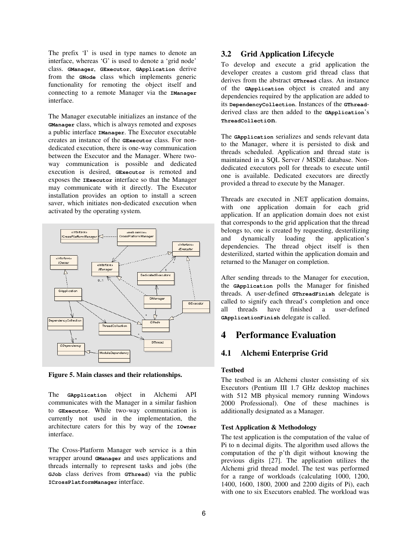The prefix 'I' is used in type names to denote an interface, whereas 'G' is used to denote a 'grid node' class. **GManager**, **GExecutor**, **GApplication** derive from the **GNode** class which implements generic functionality for remoting the object itself and connecting to a remote Manager via the **IManager** interface.

The Manager executable initializes an instance of the **GManager** class, which is always remoted and exposes a public interface **IManager**. The Executor executable creates an instance of the **GExecutor** class. For nondedicated execution, there is one-way communication between the Executor and the Manager. Where twoway communication is possible and dedicated execution is desired, **GExecutor** is remoted and exposes the **IExecutor** interface so that the Manager may communicate with it directly. The Executor installation provides an option to install a screen saver, which initiates non-dedicated execution when activated by the operating system.



**Figure 5. Main classes and their relationships.** 

The **GApplication** object in Alchemi API communicates with the Manager in a similar fashion to **GExecutor**. While two-way communication is currently not used in the implementation, the architecture caters for this by way of the **IOwner** interface.

The Cross-Platform Manager web service is a thin wrapper around **GManager** and uses applications and threads internally to represent tasks and jobs (the **GJob** class derives from **GThread**) via the public **ICrossPlatformManager** interface.

## **3.2 Grid Application Lifecycle**

To develop and execute a grid application the developer creates a custom grid thread class that derives from the abstract **GThread** class. An instance of the **GApplication** object is created and any dependencies required by the application are added to its **DependencyCollection**. Instances of the **GThread**derived class are then added to the **GApplication**'s **ThreadCollection**.

The **GApplication** serializes and sends relevant data to the Manager, where it is persisted to disk and threads scheduled. Application and thread state is maintained in a SQL Server / MSDE database. Nondedicated executors poll for threads to execute until one is available. Dedicated executors are directly provided a thread to execute by the Manager.

Threads are executed in .NET application domains, with one application domain for each grid application. If an application domain does not exist that corresponds to the grid application that the thread belongs to, one is created by requesting, desterilizing and dynamically loading the application's dependencies. The thread object itself is then desterilized, started within the application domain and returned to the Manager on completion.

After sending threads to the Manager for execution, the **GApplication** polls the Manager for finished threads. A user-defined **GThreadFinish** delegate is called to signify each thread's completion and once all threads have finished a user-defined **GApplicationFinish** delegate is called.

# **4 Performance Evaluation**

## **4.1 Alchemi Enterprise Grid**

### **Testbed**

The testbed is an Alchemi cluster consisting of six Executors (Pentium III 1.7 GHz desktop machines with 512 MB physical memory running Windows 2000 Professional). One of these machines is additionally designated as a Manager.

### **Test Application & Methodology**

The test application is the computation of the value of Pi to n decimal digits. The algorithm used allows the computation of the p'th digit without knowing the previous digits [27]. The application utilizes the Alchemi grid thread model. The test was performed for a range of workloads (calculating 1000, 1200, 1400, 1600, 1800, 2000 and 2200 digits of Pi), each with one to six Executors enabled. The workload was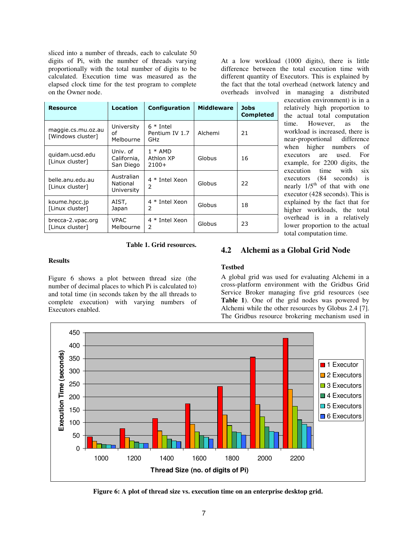sliced into a number of threads, each to calculate 50 digits of Pi, with the number of threads varying proportionally with the total number of digits to be calculated. Execution time was measured as the elapsed clock time for the test program to complete on the Owner node.

| <b>Resource</b>                         | Location                             | Configuration                                 | <b>Middleware</b> | Jobs<br><b>Completed</b> |
|-----------------------------------------|--------------------------------------|-----------------------------------------------|-------------------|--------------------------|
| maggie.cs.mu.oz.au<br>[Windows cluster] | University<br>οf<br>Melbourne        | $6 *$ Intel<br>Pentium IV 1.7<br>GHz          | Alchemi           | 21                       |
| quidam.ucsd.edu<br>[Linux cluster]      | Univ. of<br>California,<br>San Diego | $1 * AND$<br>Athlon XP<br>$2100+$             | Globus            | 16                       |
| belle.anu.edu.au<br>[Linux cluster]     | Australian<br>National<br>University | * Intel Xeon<br>4<br>$\overline{\phantom{a}}$ | Globus            | 22                       |
| koume.hpcc.jp<br>[Linux cluster]        | AIST,<br>Japan                       | * Intel Xeon<br>4<br>2                        | Globus            | 18                       |
| brecca-2.vpac.org<br>[Linux cluster]    | <b>VPAC</b><br>Melbourne             | * Intel Xeon<br>2                             | Globus            | 23                       |

#### **Table 1. Grid resources.**

#### **Results**

Figure 6 shows a plot between thread size (the number of decimal places to which Pi is calculated to) and total time (in seconds taken by the all threads to complete execution) with varying numbers of Executors enabled.



At a low workload (1000 digits), there is little difference between the total execution time with different quantity of Executors. This is explained by the fact that the total overhead (network latency and overheads involved in managing a distributed

> near-proportional difference when higher numbers of executors are used. For example, for 2200 digits, the execution time with six executors (84 seconds) is nearly  $1/5<sup>th</sup>$  of that with one executor (428 seconds). This is explained by the fact that for higher workloads, the total overhead is in a relatively lower proportion to the actual total computation time.

### **4.2 Alchemi as a Global Grid Node**

#### **Testbed**

A global grid was used for evaluating Alchemi in a cross-platform environment with the Gridbus Grid Service Broker managing five grid resources (see **Table 1**). One of the grid nodes was powered by Alchemi while the other resources by Globus 2.4 [7]. The Gridbus resource brokering mechanism used in



**Figure 6: A plot of thread size vs. execution time on an enterprise desktop grid.**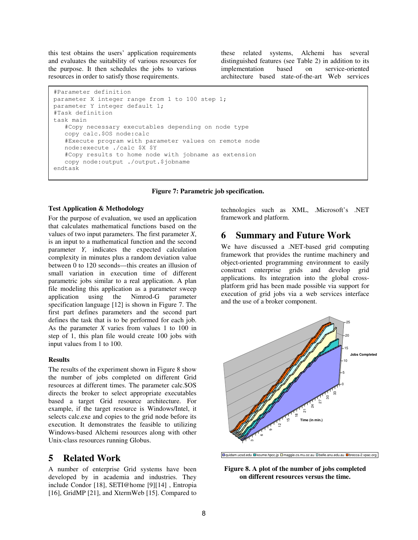this test obtains the users' application requirements and evaluates the suitability of various resources for the purpose. It then schedules the jobs to various resources in order to satisfy those requirements.

these related systems, Alchemi has several distinguished features (see Table 2) in addition to its implementation based on service-oriented architecture based state-of-the-art Web services

```
#Parameter definition 
parameter X integer range from 1 to 100 step 1; 
parameter Y integer default 1; 
#Task definition 
task main 
    #Copy necessary executables depending on node type 
    copy calc.$OS node:calc 
    #Execute program with parameter values on remote node 
    node:execute ./calc $X $Y 
    #Copy results to home node with jobname as extension 
    copy node:output ./output.$jobname 
endtask
```


#### **Test Application & Methodology**

For the purpose of evaluation, we used an application that calculates mathematical functions based on the values of two input parameters. The first parameter *X*, is an input to a mathematical function and the second parameter *Y,* indicates the expected calculation complexity in minutes plus a random deviation value between 0 to 120 seconds—this creates an illusion of small variation in execution time of different parametric jobs similar to a real application. A plan file modeling this application as a parameter sweep application using the Nimrod-G parameter specification language [12] is shown in Figure 7. The first part defines parameters and the second part defines the task that is to be performed for each job. As the parameter *X* varies from values 1 to 100 in step of 1, this plan file would create 100 jobs with input values from 1 to 100.

### **Results**

The results of the experiment shown in Figure 8 show the number of jobs completed on different Grid resources at different times. The parameter calc.\$OS directs the broker to select appropriate executables based a target Grid resource architecture. For example, if the target resource is Windows/Intel, it selects calc.exe and copies to the grid node before its execution. It demonstrates the feasible to utilizing Windows-based Alchemi resources along with other Unix-class resources running Globus.

## **5 Related Work**

A number of enterprise Grid systems have been developed by in academia and industries. They include Condor [18], SETI@home [9][14] , Entropia [16], GridMP [21], and XtermWeb [15]. Compared to technologies such as XML, .Microsoft's .NET framework and platform.

## **6 Summary and Future Work**

We have discussed a .NET-based grid computing framework that provides the runtime machinery and object-oriented programming environment to easily construct enterprise grids and develop grid applications. Its integration into the global crossplatform grid has been made possible via support for execution of grid jobs via a web services interface and the use of a broker component.



**E**quidam.ucsd.edu **E**koume.hpcc.jp **E** maggie.cs.mu.oz.au Ebelle.anu.edu.au **E** brecca-2.vpac.org

**Figure 8. A plot of the number of jobs completed on different resources versus the time.**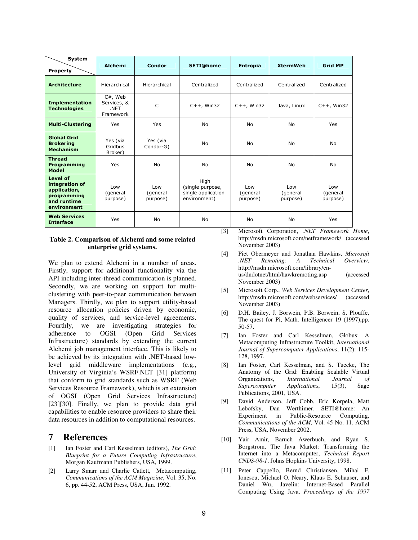| System<br><b>Property</b>                                                               | <b>Alchemi</b>                                 | Condor                      | <b>SETI@home</b>                                               | <b>Entropia</b>             | <b>XtermWeb</b>             | <b>Grid MP</b>              |
|-----------------------------------------------------------------------------------------|------------------------------------------------|-----------------------------|----------------------------------------------------------------|-----------------------------|-----------------------------|-----------------------------|
| <b>Architecture</b>                                                                     | Hierarchical                                   | Hierarchical                | Centralized                                                    | Centralized                 | Centralized                 | Centralized                 |
| <b>Implementation</b><br><b>Technologies</b>                                            | $C#$ , Web<br>Services, &<br>.NFT<br>Framework | C                           | $C++$ , Win32                                                  | $C++$ , Win32               | Java, Linux                 | $C++$ , Win32               |
| <b>Multi-Clustering</b>                                                                 | Yes                                            | Yes                         | <b>No</b>                                                      | <b>No</b>                   | <b>No</b>                   | Yes                         |
| <b>Global Grid</b><br><b>Brokering</b><br><b>Mechanism</b>                              | Yes (via<br>Gridbus<br>Broker)                 | Yes (via<br>Condor-G)       | No                                                             | <b>No</b>                   | <b>No</b>                   | <b>No</b>                   |
| <b>Thread</b><br>Programming<br><b>Model</b>                                            | Yes                                            | <b>No</b>                   | <b>No</b>                                                      | <b>No</b>                   | <b>No</b>                   | No                          |
| Level of<br>integration of<br>application,<br>programming<br>and runtime<br>environment | Low<br>(general<br>purpose)                    | Low<br>(general<br>purpose) | High<br>(single purpose,<br>single application<br>environment) | Low<br>(general<br>purpose) | Low<br>(general<br>purpose) | Low<br>(general<br>purpose) |
| <b>Web Services</b><br><b>Interface</b>                                                 | Yes                                            | No                          | No                                                             | <b>No</b>                   | <b>No</b>                   | Yes                         |

### **Table 2. Comparison of Alchemi and some related enterprise grid systems.**

We plan to extend Alchemi in a number of areas. Firstly, support for additional functionality via the API including inter-thread communication is planned. Secondly, we are working on support for multiclustering with peer-to-peer communication between Managers. Thirdly, we plan to support utility-based resource allocation policies driven by economic, quality of services, and service-level agreements. Fourthly, we are investigating strategies for adherence to OGSI (Open Grid Services Infrastructure) standards by extending the current Alchemi job management interface. This is likely to be achieved by its integration with .NET-based lowlevel grid middleware implementations (e.g., University of Virginia's WSRF.NET [31] platform) that conform to grid standards such as WSRF (Web Services Resource Framework), which is an extension of OGSI (Open Grid Services Infrastructure) [23][30]. Finally, we plan to provide data grid capabilities to enable resource providers to share their data resources in addition to computational resources.

## **7 References**

- [1] Ian Foster and Carl Kesselman (editors), *The Grid: Blueprint for a Future Computing Infrastructure*, Morgan Kaufmann Publishers, USA, 1999.
- [2] Larry Smarr and Charlie Catlett, Metacomputing, *Communications of the ACM Magazine*, Vol. 35, No. 6, pp. 44-52, ACM Press, USA, Jun. 1992.

[3] Microsoft Corporation, *.NET Framework Home*, http://msdn.microsoft.com/netframework/ (accessed November 2003)

- [4] Piet Obermeyer and Jonathan Hawkins, *Microsoft .NET Remoting: A Technical Overview*, http://msdn.microsoft.com/library/enus/dndotnet/html/hawkremoting.asp (accessed November 2003)
- [5] Microsoft Corp., *Web Services Development Center*, http://msdn.microsoft.com/webservices/ (accessed November 2003)
- [6] D.H. Bailey, J. Borwein, P.B. Borwein, S. Plouffe, The quest for Pi, Math. Intelligencer 19 (1997),pp. 50-57.
- [7] Ian Foster and Carl Kesselman, Globus: A Metacomputing Infrastructure Toolkit, *International Journal of Supercomputer Applications*, 11(2): 115- 128, 1997.
- [8] Ian Foster, Carl Kesselman, and S. Tuecke, The Anatomy of the Grid: Enabling Scalable Virtual Organizations, *International Journal of Supercomputer Applications*, 15(3), Sage Publications, 2001, USA.
- [9] David Anderson, Jeff Cobb, Eric Korpela, Matt Lebofsky, Dan Werthimer, SETI@home: An Experiment in Public-Resource Computing, *Communications of the ACM,* Vol. 45 No. 11, ACM Press, USA, November 2002.
- [10] Yair Amir, Baruch Awerbuch, and Ryan S. Borgstrom, The Java Market: Transforming the Internet into a Metacomputer, *Technical Report CNDS-98-1*, Johns Hopkins University, 1998.
- [11] Peter Cappello, Bernd Christiansen, Mihai F. Ionescu, Michael O. Neary, Klaus E. Schauser, and Daniel Wu, Javelin: Internet-Based Parallel Computing Using Java, *Proceedings of the 1997*